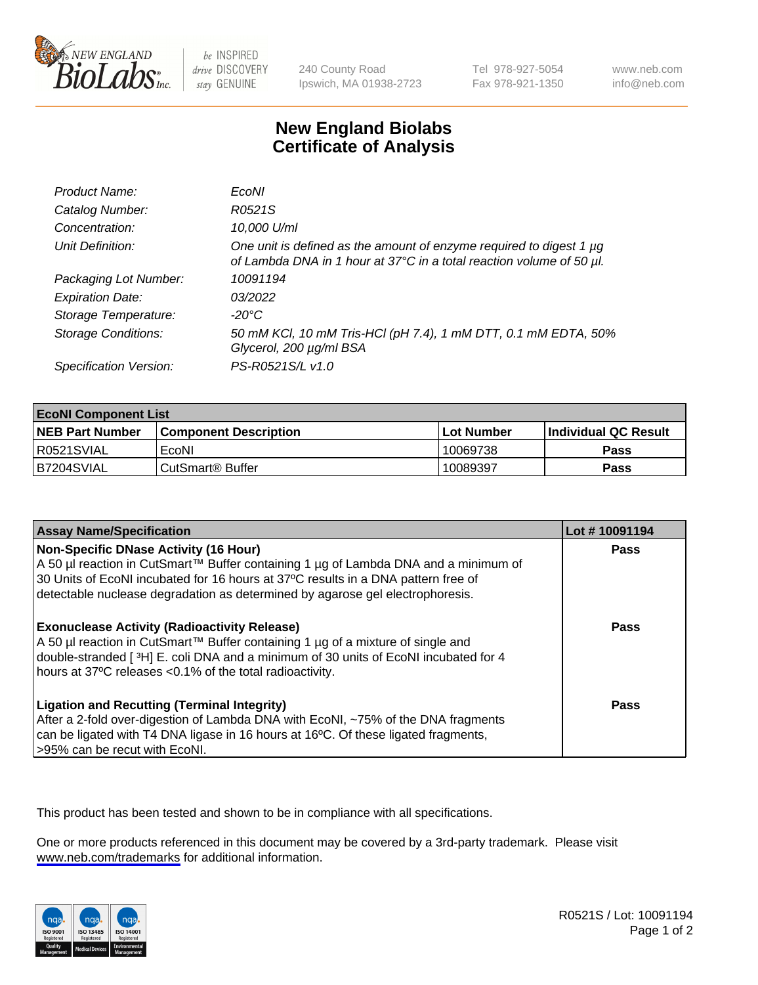

be INSPIRED drive DISCOVERY stay GENUINE

240 County Road Ipswich, MA 01938-2723 Tel 978-927-5054 Fax 978-921-1350

www.neb.com info@neb.com

## **New England Biolabs Certificate of Analysis**

| Product Name:              | EcoNI                                                                                                                                       |
|----------------------------|---------------------------------------------------------------------------------------------------------------------------------------------|
| Catalog Number:            | R0521S                                                                                                                                      |
| Concentration:             | 10,000 U/ml                                                                                                                                 |
| Unit Definition:           | One unit is defined as the amount of enzyme required to digest 1 µg<br>of Lambda DNA in 1 hour at 37°C in a total reaction volume of 50 µl. |
| Packaging Lot Number:      | 10091194                                                                                                                                    |
| <b>Expiration Date:</b>    | 0.3/2022                                                                                                                                    |
| Storage Temperature:       | -20°C                                                                                                                                       |
| <b>Storage Conditions:</b> | 50 mM KCl, 10 mM Tris-HCl (pH 7.4), 1 mM DTT, 0.1 mM EDTA, 50%<br>Glycerol, 200 µg/ml BSA                                                   |
| Specification Version:     | PS-R0521S/L v1.0                                                                                                                            |

| <b>EcoNI Component List</b> |                         |              |                             |  |
|-----------------------------|-------------------------|--------------|-----------------------------|--|
| <b>NEB Part Number</b>      | l Component Description | l Lot Number | <b>Individual QC Result</b> |  |
| R0521SVIAL                  | EcoNI                   | 10069738     | <b>Pass</b>                 |  |
| IB7204SVIAL                 | l CutSmart® Buffer      | 10089397     | Pass                        |  |

| <b>Assay Name/Specification</b>                                                                                                                                                                                                                                                                           | Lot #10091194 |
|-----------------------------------------------------------------------------------------------------------------------------------------------------------------------------------------------------------------------------------------------------------------------------------------------------------|---------------|
| <b>Non-Specific DNase Activity (16 Hour)</b><br>A 50 µl reaction in CutSmart™ Buffer containing 1 µg of Lambda DNA and a minimum of<br>30 Units of EcoNI incubated for 16 hours at 37°C results in a DNA pattern free of<br>detectable nuclease degradation as determined by agarose gel electrophoresis. | Pass          |
| <b>Exonuclease Activity (Radioactivity Release)</b><br>A 50 µl reaction in CutSmart™ Buffer containing 1 µg of a mixture of single and<br>double-stranded [3H] E. coli DNA and a minimum of 30 units of EcoNI incubated for 4<br>hours at 37°C releases <0.1% of the total radioactivity.                 | Pass          |
| <b>Ligation and Recutting (Terminal Integrity)</b><br>After a 2-fold over-digestion of Lambda DNA with EcoNI, ~75% of the DNA fragments<br>can be ligated with T4 DNA ligase in 16 hours at 16°C. Of these ligated fragments,<br>>95% can be recut with EcoNI.                                            | Pass          |

This product has been tested and shown to be in compliance with all specifications.

One or more products referenced in this document may be covered by a 3rd-party trademark. Please visit <www.neb.com/trademarks>for additional information.